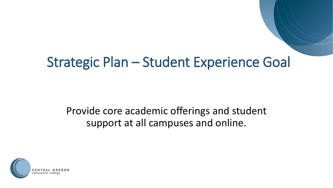# Strategic Plan – Student Experience Goal

### Provide core academic offerings and student support at all campuses and online.

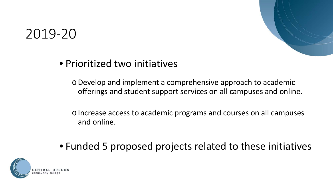## 2019-20

### • Prioritized two initiatives

oDevelop and implement a comprehensive approach to academic offerings and student support services on all campuses and online.

oIncrease access to academic programs and courses on all campuses and online.

• Funded 5 proposed projects related to these initiatives

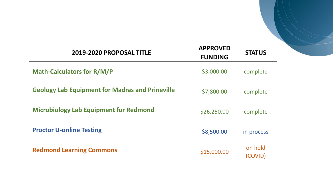| 2019-2020 PROPOSAL TITLE                               | <b>APPROVED</b><br><b>FUNDING</b> | <b>STATUS</b>      |
|--------------------------------------------------------|-----------------------------------|--------------------|
| <b>Math-Calculators for R/M/P</b>                      | \$3,000.00                        | complete           |
| <b>Geology Lab Equipment for Madras and Prineville</b> | \$7,800.00                        | complete           |
| <b>Microbiology Lab Equipment for Redmond</b>          | \$26,250.00                       | complete           |
| <b>Proctor U-online Testing</b>                        | \$8,500.00                        | in process         |
| <b>Redmond Learning Commons</b>                        | \$15,000.00                       | on hold<br>(COVID) |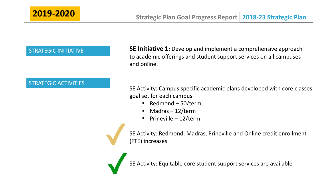### STRATEGIC ACTIVITIES

STRATEGIC INITIATIVE **SE Initiative 1:** Develop and implement a comprehensive approach to academic offerings and student support services on all campuses and online.

> SE Activity: Campus specific academic plans developed with core classes goal set for each campus

- Redmond  $50$ /term
- Madras 12/term
- Prineville 12/term

SE Activity: Redmond, Madras, Prineville and Online credit enrollment (FTE) increases

SE Activity: Equitable core student support services are available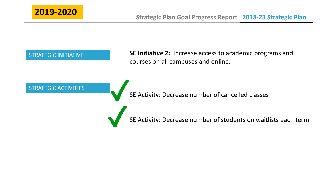

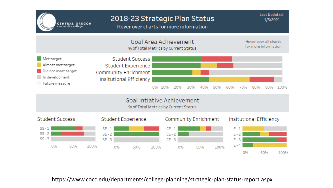

https://www.cocc.edu/departments/college-planning/strategic-plan-status-report.aspx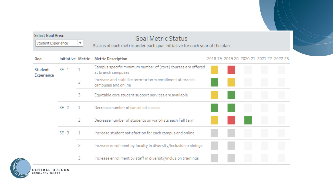| Student Experience<br>▼ |                   |   | <b>Goal Metric Status</b><br>Status of each metric under each goal initiative for each year of the plan |                                         |  |  |
|-------------------------|-------------------|---|---------------------------------------------------------------------------------------------------------|-----------------------------------------|--|--|
| Goal                    | Initiative Metric |   | <b>Metric Description</b>                                                                               | 2018-19 2019-20 2020-21 2021-22 2022-23 |  |  |
| Student<br>Experience   | $SE - 1$          |   | Campus specific minimum number of (core) courses are offered<br>at branch campuses                      |                                         |  |  |
|                         |                   | 2 | Increase and stabilize term-to-term enrollment at branch<br>campuses and online                         |                                         |  |  |
|                         |                   | 3 | Equitable core student support services are available                                                   |                                         |  |  |
|                         | $SE - 2$          |   | Decrease number of cancelled classes                                                                    |                                         |  |  |
|                         |                   | 2 | Decrease number of students on wait-lists each Fall term                                                |                                         |  |  |
|                         | $SE - 3$          |   | Increase student satisfaction for each campus and online                                                |                                         |  |  |
|                         |                   | 2 | Increase enrollment by faculty in diversity/inclusion trainings                                         |                                         |  |  |
|                         |                   | 3 | Increase enrollment by staff in diversity/inclusion trainings                                           |                                         |  |  |

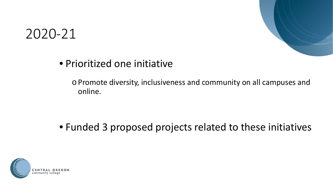

## 2020-21

### • Prioritized one initiative

oPromote diversity, inclusiveness and community on all campuses and online.

• Funded 3 proposed projects related to these initiatives

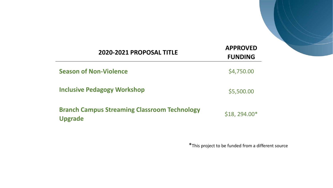| 2020-2021 PROPOSAL TITLE                                              | <b>APPROVED</b><br><b>FUNDING</b> |
|-----------------------------------------------------------------------|-----------------------------------|
| <b>Season of Non-Violence</b>                                         | \$4,750.00                        |
| <b>Inclusive Pedagogy Workshop</b>                                    | \$5,500.00                        |
| <b>Branch Campus Streaming Classroom Technology</b><br><b>Upgrade</b> | $$18, 294.00*$                    |

\*This project to be funded from a different source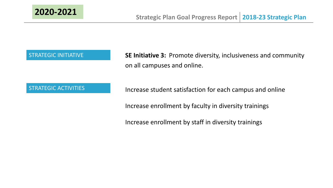

STRATEGIC INITIATIVE **SE Initiative 3:** Promote diversity, inclusiveness and community on all campuses and online.

STRATEGIC ACTIVITIES **Increase student satisfaction for each campus and online** 

Increase enrollment by faculty in diversity trainings

Increase enrollment by staff in diversity trainings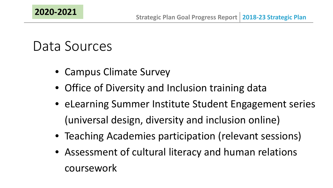# Data Sources

- Campus Climate Survey
- Office of Diversity and Inclusion training data
- eLearning Summer Institute Student Engagement series (universal design, diversity and inclusion online)
- Teaching Academies participation (relevant sessions)
- Assessment of cultural literacy and human relations coursework